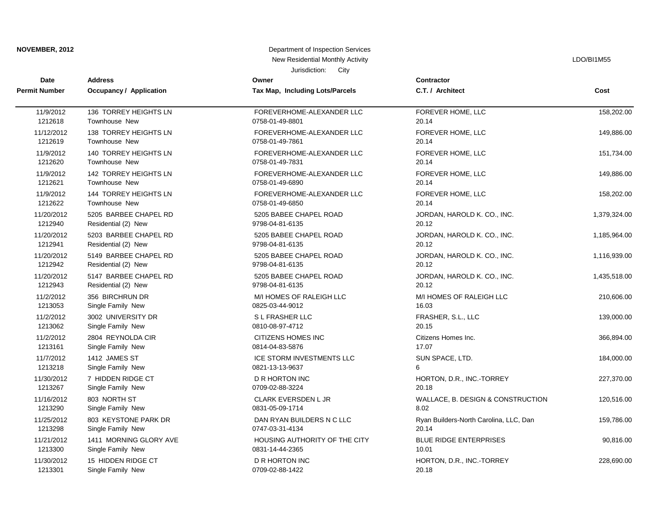| NOVEMBER, 2012       |                                | Department of Inspection Services |                                        |              |  |
|----------------------|--------------------------------|-----------------------------------|----------------------------------------|--------------|--|
|                      |                                | New Residential Monthly Activity  |                                        | LDO/BI1M55   |  |
|                      |                                | Jurisdiction:<br>City             |                                        |              |  |
| Date                 | <b>Address</b>                 | Owner                             | <b>Contractor</b>                      |              |  |
| <b>Permit Number</b> | <b>Occupancy / Application</b> | Tax Map, Including Lots/Parcels   | C.T. / Architect                       | Cost         |  |
| 11/9/2012            | 136 TORREY HEIGHTS LN          | FOREVERHOME-ALEXANDER LLC         | FOREVER HOME, LLC                      | 158,202.00   |  |
| 1212618              | Townhouse New                  | 0758-01-49-8801                   | 20.14                                  |              |  |
| 11/12/2012           | 138 TORREY HEIGHTS LN          | FOREVERHOME-ALEXANDER LLC         | FOREVER HOME, LLC                      | 149,886.00   |  |
| 1212619              | Townhouse New                  | 0758-01-49-7861                   | 20.14                                  |              |  |
| 11/9/2012            | 140 TORREY HEIGHTS LN          | FOREVERHOME-ALEXANDER LLC         | FOREVER HOME, LLC                      | 151,734.00   |  |
| 1212620              | <b>Townhouse New</b>           | 0758-01-49-7831                   | 20.14                                  |              |  |
| 11/9/2012            | 142 TORREY HEIGHTS LN          | FOREVERHOME-ALEXANDER LLC         | FOREVER HOME, LLC                      | 149,886.00   |  |
| 1212621              | <b>Townhouse New</b>           | 0758-01-49-6890                   | 20.14                                  |              |  |
| 11/9/2012            | 144 TORREY HEIGHTS LN          | FOREVERHOME-ALEXANDER LLC         | FOREVER HOME, LLC                      | 158,202.00   |  |
| 1212622              | <b>Townhouse New</b>           | 0758-01-49-6850                   | 20.14                                  |              |  |
| 11/20/2012           | 5205 BARBEE CHAPEL RD          | 5205 BABEE CHAPEL ROAD            | JORDAN, HAROLD K. CO., INC.            | 1,379,324.00 |  |
| 1212940              | Residential (2) New            | 9798-04-81-6135                   | 20.12                                  |              |  |
| 11/20/2012           | 5203 BARBEE CHAPEL RD          | 5205 BABEE CHAPEL ROAD            | JORDAN, HAROLD K. CO., INC.            | 1,185,964.00 |  |
| 1212941              | Residential (2) New            | 9798-04-81-6135                   | 20.12                                  |              |  |
| 11/20/2012           | 5149 BARBEE CHAPEL RD          | 5205 BABEE CHAPEL ROAD            | JORDAN, HAROLD K. CO., INC.            | 1,116,939.00 |  |
| 1212942              | Residential (2) New            | 9798-04-81-6135                   | 20.12                                  |              |  |
| 11/20/2012           | 5147 BARBEE CHAPEL RD          | 5205 BABEE CHAPEL ROAD            | JORDAN, HAROLD K. CO., INC.            | 1,435,518.00 |  |
| 1212943              | Residential (2) New            | 9798-04-81-6135                   | 20.12                                  |              |  |
| 11/2/2012            | 356 BIRCHRUN DR                | M/I HOMES OF RALEIGH LLC          | M/I HOMES OF RALEIGH LLC               | 210,606.00   |  |
| 1213053              | Single Family New              | 0825-03-44-9012                   | 16.03                                  |              |  |
| 11/2/2012            | 3002 UNIVERSITY DR             | S L FRASHER LLC                   | FRASHER, S.L., LLC                     | 139,000.00   |  |
| 1213062              | Single Family New              | 0810-08-97-4712                   | 20.15                                  |              |  |
| 11/2/2012            | 2804 REYNOLDA CIR              | CITIZENS HOMES INC                | Citizens Homes Inc.                    | 366,894.00   |  |
| 1213161              | Single Family New              | 0814-04-83-5876                   | 17.07                                  |              |  |
| 11/7/2012            | 1412 JAMES ST                  | ICE STORM INVESTMENTS LLC         | SUN SPACE, LTD.                        | 184,000.00   |  |
| 1213218              | Single Family New              | 0821-13-13-9637                   | 6                                      |              |  |
| 11/30/2012           | 7 HIDDEN RIDGE CT              | D R HORTON INC                    | HORTON, D.R., INC.-TORREY              | 227,370.00   |  |
| 1213267              | Single Family New              | 0709-02-88-3224                   | 20.18                                  |              |  |
| 11/16/2012           | 803 NORTH ST                   | <b>CLARK EVERSDEN L JR</b>        | WALLACE, B. DESIGN & CONSTRUCTION      | 120,516.00   |  |
| 1213290              | Single Family New              | 0831-05-09-1714                   | 8.02                                   |              |  |
| 11/25/2012           | 803 KEYSTONE PARK DR           | DAN RYAN BUILDERS N C LLC         | Ryan Builders-North Carolina, LLC, Dan | 159,786.00   |  |
| 1213298              | Single Family New              | 0747-03-31-4134                   | 20.14                                  |              |  |
| 11/21/2012           | 1411 MORNING GLORY AVE         | HOUSING AUTHORITY OF THE CITY     | <b>BLUE RIDGE ENTERPRISES</b>          | 90,816.00    |  |
| 1213300              | Single Family New              | 0831-14-44-2365                   | 10.01                                  |              |  |
| 11/30/2012           | 15 HIDDEN RIDGE CT             | <b>D R HORTON INC</b>             | HORTON, D.R., INC.-TORREY              | 228,690.00   |  |
| 1213301              | Single Family New              | 0709-02-88-1422                   | 20.18                                  |              |  |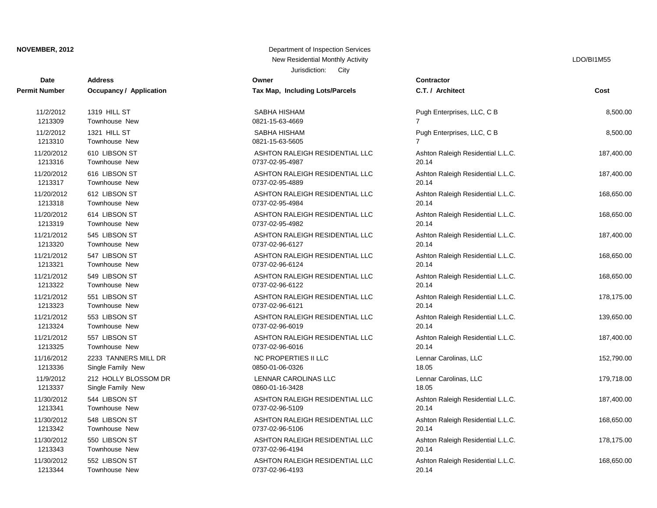# Jurisdiction: City **NOVEMBER, 2012** Department of Inspection Services New Residential Monthly Activity **Little Struck and Activity** LDO/BI1M55

| Date                 | <b>Address</b>          | Juliaulululi.<br>با اب<br>Owner        | Contractor                        |            |
|----------------------|-------------------------|----------------------------------------|-----------------------------------|------------|
| <b>Permit Number</b> | Occupancy / Application | <b>Tax Map, Including Lots/Parcels</b> | C.T. / Architect                  | Cost       |
| 11/2/2012            | 1319 HILL ST            | SABHA HISHAM                           | Pugh Enterprises, LLC, C B        | 8,500.00   |
| 1213309              | Townhouse New           | 0821-15-63-4669                        | $\overline{7}$                    |            |
| 11/2/2012            | 1321 HILL ST            | SABHA HISHAM                           | Pugh Enterprises, LLC, C B        | 8,500.00   |
| 1213310              | Townhouse New           | 0821-15-63-5605                        | 7                                 |            |
| 11/20/2012           | 610 LIBSON ST           | ASHTON RALEIGH RESIDENTIAL LLC         | Ashton Raleigh Residential L.L.C. | 187,400.00 |
| 1213316              | Townhouse New           | 0737-02-95-4987                        | 20.14                             |            |
| 11/20/2012           | 616 LIBSON ST           | ASHTON RALEIGH RESIDENTIAL LLC         | Ashton Raleigh Residential L.L.C. | 187,400.00 |
| 1213317              | Townhouse New           | 0737-02-95-4889                        | 20.14                             |            |
| 11/20/2012           | 612 LIBSON ST           | ASHTON RALEIGH RESIDENTIAL LLC         | Ashton Raleigh Residential L.L.C. | 168,650.00 |
| 1213318              | Townhouse New           | 0737-02-95-4984                        | 20.14                             |            |
| 11/20/2012           | 614 LIBSON ST           | ASHTON RALEIGH RESIDENTIAL LLC         | Ashton Raleigh Residential L.L.C. | 168,650.00 |
| 1213319              | Townhouse New           | 0737-02-95-4982                        | 20.14                             |            |
| 11/21/2012           | 545 LIBSON ST           | ASHTON RALEIGH RESIDENTIAL LLC         | Ashton Raleigh Residential L.L.C. | 187,400.00 |
| 1213320              | Townhouse New           | 0737-02-96-6127                        | 20.14                             |            |
| 11/21/2012           | 547 LIBSON ST           | ASHTON RALEIGH RESIDENTIAL LLC         | Ashton Raleigh Residential L.L.C. | 168,650.00 |
| 1213321              | Townhouse New           | 0737-02-96-6124                        | 20.14                             |            |
| 11/21/2012           | 549 LIBSON ST           | ASHTON RALEIGH RESIDENTIAL LLC         | Ashton Raleigh Residential L.L.C. | 168,650.00 |
| 1213322              | Townhouse New           | 0737-02-96-6122                        | 20.14                             |            |
| 11/21/2012           | 551 LIBSON ST           | ASHTON RALEIGH RESIDENTIAL LLC         | Ashton Raleigh Residential L.L.C. | 178,175.00 |
| 1213323              | Townhouse New           | 0737-02-96-6121                        | 20.14                             |            |
| 11/21/2012           | 553 LIBSON ST           | ASHTON RALEIGH RESIDENTIAL LLC         | Ashton Raleigh Residential L.L.C. | 139,650.00 |
| 1213324              | Townhouse New           | 0737-02-96-6019                        | 20.14                             |            |
| 11/21/2012           | 557 LIBSON ST           | ASHTON RALEIGH RESIDENTIAL LLC         | Ashton Raleigh Residential L.L.C. | 187,400.00 |
| 1213325              | Townhouse New           | 0737-02-96-6016                        | 20.14                             |            |
| 11/16/2012           | 2233 TANNERS MILL DR    | NC PROPERTIES II LLC                   | Lennar Carolinas, LLC             | 152,790.00 |
| 1213336              | Single Family New       | 0850-01-06-0326                        | 18.05                             |            |
| 11/9/2012            | 212 HOLLY BLOSSOM DR    | LENNAR CAROLINAS LLC                   | Lennar Carolinas, LLC             | 179,718.00 |
| 1213337              | Single Family New       | 0860-01-16-3428                        | 18.05                             |            |
| 11/30/2012           | 544 LIBSON ST           | ASHTON RALEIGH RESIDENTIAL LLC         | Ashton Raleigh Residential L.L.C. | 187,400.00 |
| 1213341              | Townhouse New           | 0737-02-96-5109                        | 20.14                             |            |
| 11/30/2012           | 548 LIBSON ST           | ASHTON RALEIGH RESIDENTIAL LLC         | Ashton Raleigh Residential L.L.C. | 168,650.00 |
| 1213342              | Townhouse New           | 0737-02-96-5106                        | 20.14                             |            |
| 11/30/2012           | 550 LIBSON ST           | ASHTON RALEIGH RESIDENTIAL LLC         | Ashton Raleigh Residential L.L.C. | 178,175.00 |
| 1213343              | Townhouse New           | 0737-02-96-4194                        | 20.14                             |            |
| 11/30/2012           | 552 LIBSON ST           | ASHTON RALEIGH RESIDENTIAL LLC         | Ashton Raleigh Residential L.L.C. | 168,650.00 |
| 1213344              | Townhouse New           | 0737-02-96-4193                        | 20.14                             |            |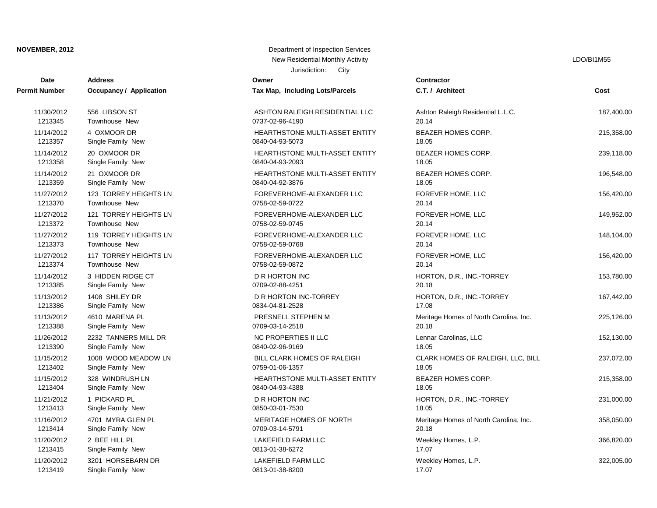### **NOVEMBER, 2012** Department of Inspection Services Services Services Services Services Services Services Services

| <b>Date</b>          | <b>Address</b>                 | Owner                                 | Contractor        |
|----------------------|--------------------------------|---------------------------------------|-------------------|
| <b>Permit Number</b> | <b>Occupancy / Application</b> | Tax Map, Including Lots/Parcels       | C.T. / Arch       |
| 11/30/2012           | 556 LIBSON ST                  | ASHTON RALEIGH RESIDENTIAL LLC        | <b>Ashton Rak</b> |
| 1213345              | <b>Townhouse New</b>           | 0737-02-96-4190                       | 20.14             |
| 11/14/2012           | 4 OXMOOR DR                    | HEARTHSTONE MULTI-ASSET ENTITY        | <b>BEAZER H</b>   |
| 1213357              | Single Family New              | 0840-04-93-5073                       | 18.05             |
| 11/14/2012           | 20 OXMOOR DR                   | HEARTHSTONE MULTI-ASSET ENTITY        | <b>BEAZER H</b>   |
| 1213358              | Single Family New              | 0840-04-93-2093                       | 18.05             |
| 11/14/2012           | 21 OXMOOR DR                   | <b>HEARTHSTONE MULTI-ASSET ENTITY</b> | <b>BEAZER H</b>   |
| 1213359              | Single Family New              | 0840-04-92-3876                       | 18.05             |
| 11/27/2012           | 123 TORREY HEIGHTS LN          | FOREVERHOME-ALEXANDER LLC             | <b>FOREVER</b>    |
| 1213370              | <b>Townhouse New</b>           | 0758-02-59-0722                       | 20.14             |
| 11/27/2012           | 121 TORREY HEIGHTS LN          | FOREVERHOME-ALEXANDER LLC             | <b>FOREVER</b>    |
| 1213372              | <b>Townhouse New</b>           | 0758-02-59-0745                       | 20.14             |
| 11/27/2012           | 119 TORREY HEIGHTS LN          | FOREVERHOME-ALEXANDER LLC             | <b>FOREVER</b>    |
| 1213373              | <b>Townhouse New</b>           | 0758-02-59-0768                       | 20.14             |
| 11/27/2012           | 117 TORREY HEIGHTS LN          | FOREVERHOME-ALEXANDER LLC             | <b>FOREVER</b>    |
| 1213374              | <b>Townhouse New</b>           | 0758-02-59-0872                       | 20.14             |
| 11/14/2012           | 3 HIDDEN RIDGE CT              | <b>D R HORTON INC</b>                 | HORTON,           |
| 1213385              | Single Family New              | 0709-02-88-4251                       | 20.18             |
| 11/13/2012           | 1408 SHILEY DR                 | D R HORTON INC-TORREY                 | HORTON, I         |
| 1213386              | Single Family New              | 0834-04-81-2528                       | 17.08             |
| 11/13/2012           | 4610 MARENA PL                 | PRESNELL STEPHEN M                    | Meritage H        |
| 1213388              | Single Family New              | 0709-03-14-2518                       | 20.18             |
| 11/26/2012           | 2232 TANNERS MILL DR           | NC PROPERTIES II LLC                  | Lennar Car        |
| 1213390              | Single Family New              | 0840-02-96-9169                       | 18.05             |
| 11/15/2012           | 1008 WOOD MEADOW LN            | <b>BILL CLARK HOMES OF RALEIGH</b>    | <b>CLARK HO</b>   |
| 1213402              | Single Family New              | 0759-01-06-1357                       | 18.05             |
| 11/15/2012           | 328 WINDRUSH LN                | HEARTHSTONE MULTI-ASSET ENTITY        | <b>BEAZER H</b>   |
| 1213404              | Single Family New              | 0840-04-93-4388                       | 18.05             |
| 11/21/2012           | 1 PICKARD PL                   | <b>D R HORTON INC</b>                 | HORTON,           |
| 1213413              | Single Family New              | 0850-03-01-7530                       | 18.05             |
| 11/16/2012           | 4701 MYRA GLEN PL              | <b>MERITAGE HOMES OF NORTH</b>        | Meritage H        |
| 1213414              | Single Family New              | 0709-03-14-5791                       | 20.18             |
| 11/20/2012           | 2 BEE HILL PL                  | LAKEFIELD FARM LLC                    | Weekley H         |
| 1213415              | Single Family New              | 0813-01-38-6272                       | 17.07             |
| 11/20/2012           | 3201 HORSEBARN DR              | LAKEFIELD FARM LLC                    | Weekley Ho        |
| 1213419              | Single Family New              | 0813-01-38-8200                       | 17.07             |

| Department of Inspection Services |      |
|-----------------------------------|------|
| New Residential Monthly Activity  |      |
| Jurisdiction:                     | City |

LDO/BI1M55

| <b>Date</b> | <b>Address</b>                 | Owner                           | Contractor                             |            |
|-------------|--------------------------------|---------------------------------|----------------------------------------|------------|
| it Number   | <b>Occupancy / Application</b> | Tax Map, Including Lots/Parcels | C.T. / Architect                       | Cost       |
| 11/30/2012  | 556 LIBSON ST                  | ASHTON RALEIGH RESIDENTIAL LLC  | Ashton Raleigh Residential L.L.C.      | 187,400.00 |
| 1213345     | Townhouse New                  | 0737-02-96-4190                 | 20.14                                  |            |
| 11/14/2012  | 4 OXMOOR DR                    | HEARTHSTONE MULTI-ASSET ENTITY  | <b>BEAZER HOMES CORP.</b>              | 215,358.00 |
| 1213357     | Single Family New              | 0840-04-93-5073                 | 18.05                                  |            |
| 11/14/2012  | 20 OXMOOR DR                   | HEARTHSTONE MULTI-ASSET ENTITY  | <b>BEAZER HOMES CORP.</b>              | 239,118.00 |
| 1213358     | Single Family New              | 0840-04-93-2093                 | 18.05                                  |            |
| 11/14/2012  | 21 OXMOOR DR                   | HEARTHSTONE MULTI-ASSET ENTITY  | <b>BEAZER HOMES CORP.</b>              | 196,548.00 |
| 1213359     | Single Family New              | 0840-04-92-3876                 | 18.05                                  |            |
| 11/27/2012  | 123 TORREY HEIGHTS LN          | FOREVERHOME-ALEXANDER LLC       | FOREVER HOME, LLC                      | 156,420.00 |
| 1213370     | Townhouse New                  | 0758-02-59-0722                 | 20.14                                  |            |
| 11/27/2012  | 121 TORREY HEIGHTS LN          | FOREVERHOME-ALEXANDER LLC       | FOREVER HOME, LLC                      | 149,952.00 |
| 1213372     | <b>Townhouse New</b>           | 0758-02-59-0745                 | 20.14                                  |            |
| 11/27/2012  | 119 TORREY HEIGHTS LN          | FOREVERHOME-ALEXANDER LLC       | FOREVER HOME, LLC                      | 148,104.00 |
| 1213373     | Townhouse New                  | 0758-02-59-0768                 | 20.14                                  |            |
| 11/27/2012  | 117 TORREY HEIGHTS LN          | FOREVERHOME-ALEXANDER LLC       | FOREVER HOME, LLC                      | 156,420.00 |
| 1213374     | <b>Townhouse New</b>           | 0758-02-59-0872                 | 20.14                                  |            |
| 11/14/2012  | 3 HIDDEN RIDGE CT              | D R HORTON INC                  | HORTON, D.R., INC.-TORREY              | 153,780.00 |
| 1213385     | Single Family New              | 0709-02-88-4251                 | 20.18                                  |            |
| 11/13/2012  | 1408 SHILEY DR                 | D R HORTON INC-TORREY           | HORTON, D.R., INC.-TORREY              | 167,442.00 |
| 1213386     | Single Family New              | 0834-04-81-2528                 | 17.08                                  |            |
| 11/13/2012  | 4610 MARENA PL                 | PRESNELL STEPHEN M              | Meritage Homes of North Carolina, Inc. | 225,126.00 |
| 1213388     | Single Family New              | 0709-03-14-2518                 | 20.18                                  |            |
| 11/26/2012  | 2232 TANNERS MILL DR           | <b>NC PROPERTIES II LLC</b>     | Lennar Carolinas, LLC                  | 152,130.00 |
| 1213390     | Single Family New              | 0840-02-96-9169                 | 18.05                                  |            |
| 11/15/2012  | 1008 WOOD MEADOW LN            | BILL CLARK HOMES OF RALEIGH     | CLARK HOMES OF RALEIGH, LLC, BILL      | 237,072.00 |
| 1213402     | Single Family New              | 0759-01-06-1357                 | 18.05                                  |            |
| 11/15/2012  | 328 WINDRUSH LN                | HEARTHSTONE MULTI-ASSET ENTITY  | <b>BEAZER HOMES CORP.</b>              | 215,358.00 |
| 1213404     | Single Family New              | 0840-04-93-4388                 | 18.05                                  |            |
| 11/21/2012  | 1 PICKARD PL                   | <b>D R HORTON INC</b>           | HORTON, D.R., INC.-TORREY              | 231,000.00 |
| 1213413     | Single Family New              | 0850-03-01-7530                 | 18.05                                  |            |
| 11/16/2012  | 4701 MYRA GLEN PL              | MERITAGE HOMES OF NORTH         | Meritage Homes of North Carolina, Inc. | 358,050.00 |
| 1213414     | Single Family New              | 0709-03-14-5791                 | 20.18                                  |            |
| 11/20/2012  | 2 BEE HILL PL                  | LAKEFIELD FARM LLC              | Weekley Homes, L.P.                    | 366,820.00 |
| 1213415     | Single Family New              | 0813-01-38-6272                 | 17.07                                  |            |
| 11/20/2012  | 3201 HORSEBARN DR              | <b>LAKEFIELD FARM LLC</b>       | Weekley Homes, L.P.                    | 322,005.00 |
| 1213419     | Single Family New              | 0813-01-38-8200                 | 17.07                                  |            |